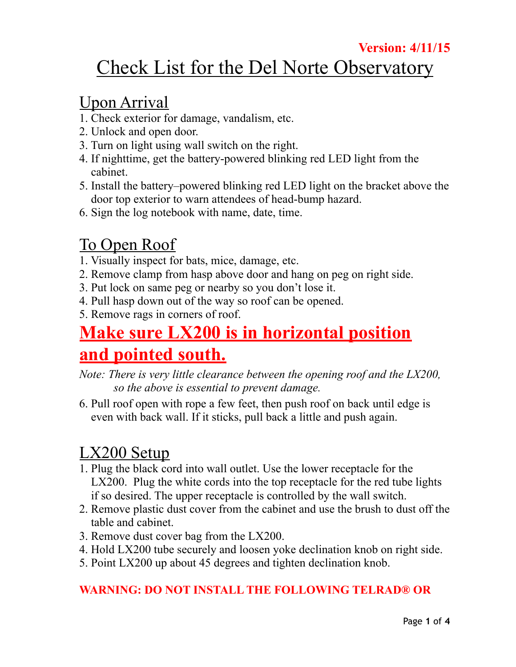#### **Version: 4/11/15**

# Check List for the Del Norte Observatory

#### Upon Arrival

- 1. Check exterior for damage, vandalism, etc.
- 2. Unlock and open door.
- 3. Turn on light using wall switch on the right.
- 4. If nighttime, get the battery-powered blinking red LED light from the cabinet.
- 5. Install the battery–powered blinking red LED light on the bracket above the door top exterior to warn attendees of head-bump hazard.
- 6. Sign the log notebook with name, date, time.

# To Open Roof

- 1. Visually inspect for bats, mice, damage, etc.
- 2. Remove clamp from hasp above door and hang on peg on right side.
- 3. Put lock on same peg or nearby so you don't lose it.
- 4. Pull hasp down out of the way so roof can be opened.
- 5. Remove rags in corners of roof.

# **Make sure LX200 is in horizontal position and pointed south.**

- *Note: There is very little clearance between the opening roof and the LX200, so the above is essential to prevent damage.*
- 6. Pull roof open with rope a few feet, then push roof on back until edge is even with back wall. If it sticks, pull back a little and push again.

### LX200 Setup

- 1. Plug the black cord into wall outlet. Use the lower receptacle for the LX200. Plug the white cords into the top receptacle for the red tube lights if so desired. The upper receptacle is controlled by the wall switch.
- 2. Remove plastic dust cover from the cabinet and use the brush to dust off the table and cabinet.
- 3. Remove dust cover bag from the LX200.
- 4. Hold LX200 tube securely and loosen yoke declination knob on right side.
- 5. Point LX200 up about 45 degrees and tighten declination knob.

#### **WARNING: DO NOT INSTALL THE FOLLOWING TELRAD® OR**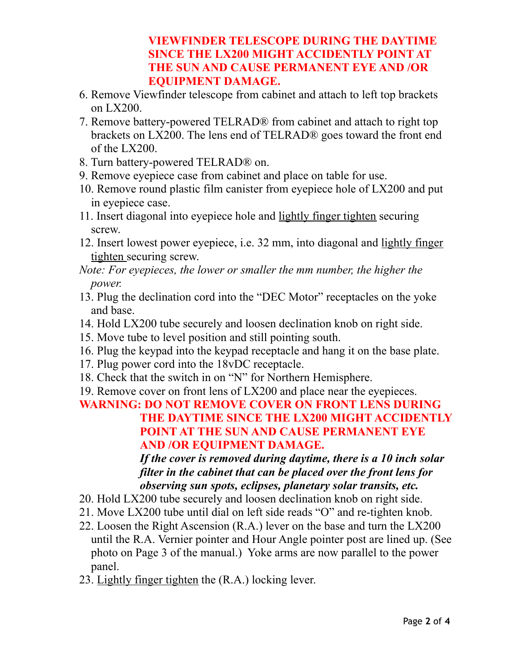#### **VIEWFINDER TELESCOPE DURING THE DAYTIME SINCE THE LX200 MIGHT ACCIDENTLY POINT AT THE SUN AND CAUSE PERMANENT EYE AND /OR EQUIPMENT DAMAGE.**

- 6. Remove Viewfinder telescope from cabinet and attach to left top brackets on LX200.
- 7. Remove battery-powered TELRAD® from cabinet and attach to right top brackets on LX200. The lens end of TELRAD® goes toward the front end of the LX200.
- 8. Turn battery-powered TELRAD® on.
- 9. Remove eyepiece case from cabinet and place on table for use.
- 10. Remove round plastic film canister from eyepiece hole of LX200 and put in eyepiece case.
- 11. Insert diagonal into eyepiece hole and lightly finger tighten securing screw.
- 12. Insert lowest power eyepiece, i.e. 32 mm, into diagonal and lightly finger tighten securing screw.
- *Note: For eyepieces, the lower or smaller the mm number, the higher the power.*
- 13. Plug the declination cord into the "DEC Motor" receptacles on the yoke and base.
- 14. Hold LX200 tube securely and loosen declination knob on right side.
- 15. Move tube to level position and still pointing south.
- 16. Plug the keypad into the keypad receptacle and hang it on the base plate.
- 17. Plug power cord into the 18vDC receptacle.
- 18. Check that the switch in on "N" for Northern Hemisphere.
- 19. Remove cover on front lens of LX200 and place near the eyepieces.

#### **WARNING: DO NOT REMOVE COVER ON FRONT LENS DURING THE DAYTIME SINCE THE LX200 MIGHT ACCIDENTLY POINT AT THE SUN AND CAUSE PERMANENT EYE AND /OR EQUIPMENT DAMAGE.**

*If the cover is removed during daytime, there is a 10 inch solar filter in the cabinet that can be placed over the front lens for observing sun spots, eclipses, planetary solar transits, etc.*

- 20. Hold LX200 tube securely and loosen declination knob on right side.
- 21. Move LX200 tube until dial on left side reads "O" and re-tighten knob.
- 22. Loosen the Right Ascension (R.A.) lever on the base and turn the LX200 until the R.A. Vernier pointer and Hour Angle pointer post are lined up. (See photo on Page 3 of the manual.) Yoke arms are now parallel to the power panel.
- 23. Lightly finger tighten the (R.A.) locking lever.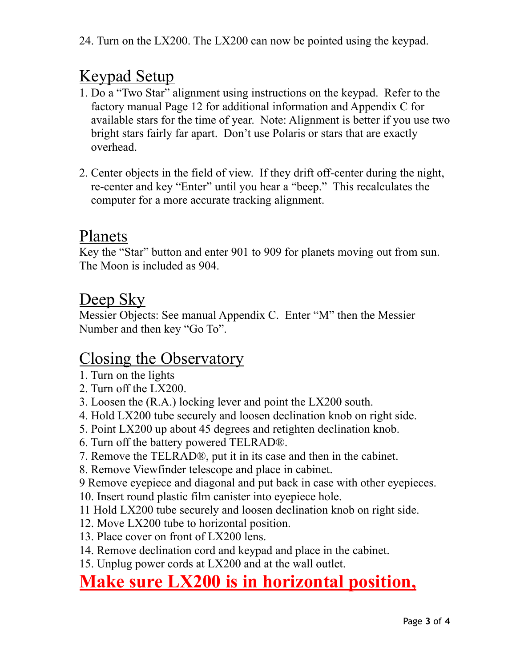# Keypad Setup

- 1. Do a "Two Star" alignment using instructions on the keypad. Refer to the factory manual Page 12 for additional information and Appendix C for available stars for the time of year. Note: Alignment is better if you use two bright stars fairly far apart. Don't use Polaris or stars that are exactly overhead.
- 2. Center objects in the field of view. If they drift off-center during the night, re-center and key "Enter" until you hear a "beep." This recalculates the computer for a more accurate tracking alignment.

#### Planets

Key the "Star" button and enter 901 to 909 for planets moving out from sun. The Moon is included as 904.

### Deep Sky

Messier Objects: See manual Appendix C. Enter "M" then the Messier Number and then key "Go To".

### Closing the Observatory

- 1. Turn on the lights
- 2. Turn off the LX200.
- 3. Loosen the (R.A.) locking lever and point the LX200 south.
- 4. Hold LX200 tube securely and loosen declination knob on right side.
- 5. Point LX200 up about 45 degrees and retighten declination knob.
- 6. Turn off the battery powered TELRAD®.
- 7. Remove the TELRAD®, put it in its case and then in the cabinet.
- 8. Remove Viewfinder telescope and place in cabinet.
- 9 Remove eyepiece and diagonal and put back in case with other eyepieces.
- 10. Insert round plastic film canister into eyepiece hole.
- 11 Hold LX200 tube securely and loosen declination knob on right side.
- 12. Move LX200 tube to horizontal position.
- 13. Place cover on front of LX200 lens.
- 14. Remove declination cord and keypad and place in the cabinet.
- 15. Unplug power cords at LX200 and at the wall outlet.

# **Make sure LX200 is in horizontal position,**